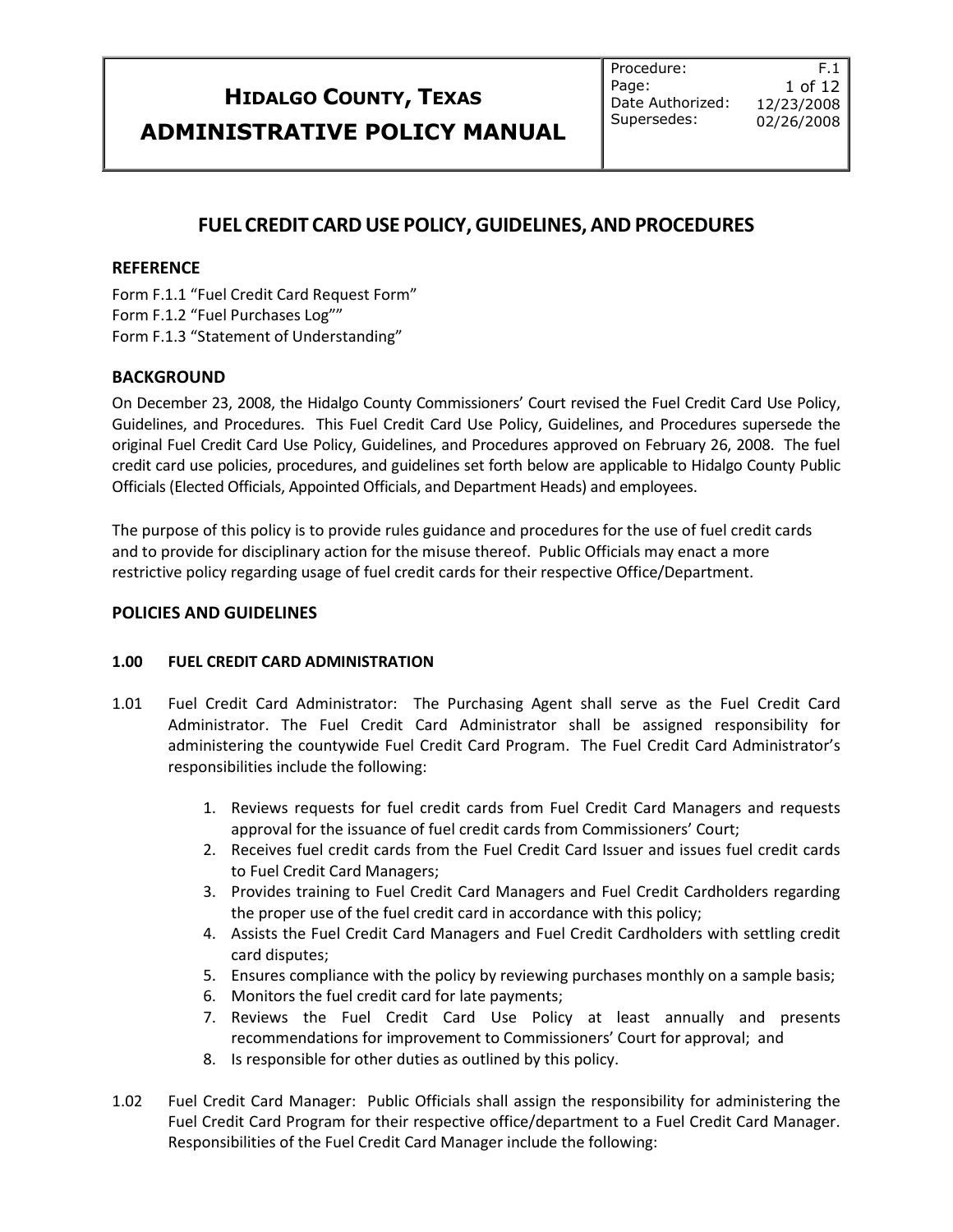Procedure: Page: Date Authorized: Supersedes:

F.1 1 of 12 12/23/2008 02/26/2008

### **FUEL CREDIT CARDUSE POLICY,GUIDELINES, AND PROCEDURES**

### **REFERENCE**

Form F.1.1 "Fuel Credit Card Request Form" Form F.1.2 "Fuel Purchases Log"" Form F.1.3 "Statement of Understanding"

### **BACKGROUND**

On December 23, 2008, the Hidalgo County Commissioners' Court revised the Fuel Credit Card Use Policy, Guidelines, and Procedures. This Fuel Credit Card Use Policy, Guidelines, and Procedures supersede the original Fuel Credit Card Use Policy, Guidelines, and Procedures approved on February 26, 2008. The fuel credit card use policies, procedures, and guidelines set forth below are applicable to Hidalgo County Public Officials (Elected Officials, Appointed Officials, and Department Heads) and employees.

The purpose of this policy is to provide rules guidance and procedures for the use of fuel credit cards and to provide for disciplinary action for the misuse thereof. Public Officials may enact a more restrictive policy regarding usage of fuel credit cards for their respective Office/Department.

#### **POLICIES AND GUIDELINES**

### **1.00 FUEL CREDIT CARD ADMINISTRATION**

- 1.01 Fuel Credit Card Administrator: The Purchasing Agent shall serve as the Fuel Credit Card Administrator. The Fuel Credit Card Administrator shall be assigned responsibility for administering the countywide Fuel Credit Card Program. The Fuel Credit Card Administrator's responsibilities include the following:
	- 1. Reviews requests for fuel credit cards from Fuel Credit Card Managers and requests approval for the issuance of fuel credit cards from Commissioners' Court;
	- 2. Receives fuel credit cards from the Fuel Credit Card Issuer and issues fuel credit cards to Fuel Credit Card Managers;
	- 3. Provides training to Fuel Credit Card Managers and Fuel Credit Cardholders regarding the proper use of the fuel credit card in accordance with this policy;
	- 4. Assists the Fuel Credit Card Managers and Fuel Credit Cardholders with settling credit card disputes;
	- 5. Ensures compliance with the policy by reviewing purchases monthly on a sample basis;
	- 6. Monitors the fuel credit card for late payments;
	- 7. Reviews the Fuel Credit Card Use Policy at least annually and presents recommendations for improvement to Commissioners' Court for approval; and
	- 8. Is responsible for other duties as outlined by this policy.
- 1.02 Fuel Credit Card Manager: Public Officials shall assign the responsibility for administering the Fuel Credit Card Program for their respective office/department to a Fuel Credit Card Manager. Responsibilities of the Fuel Credit Card Manager include the following: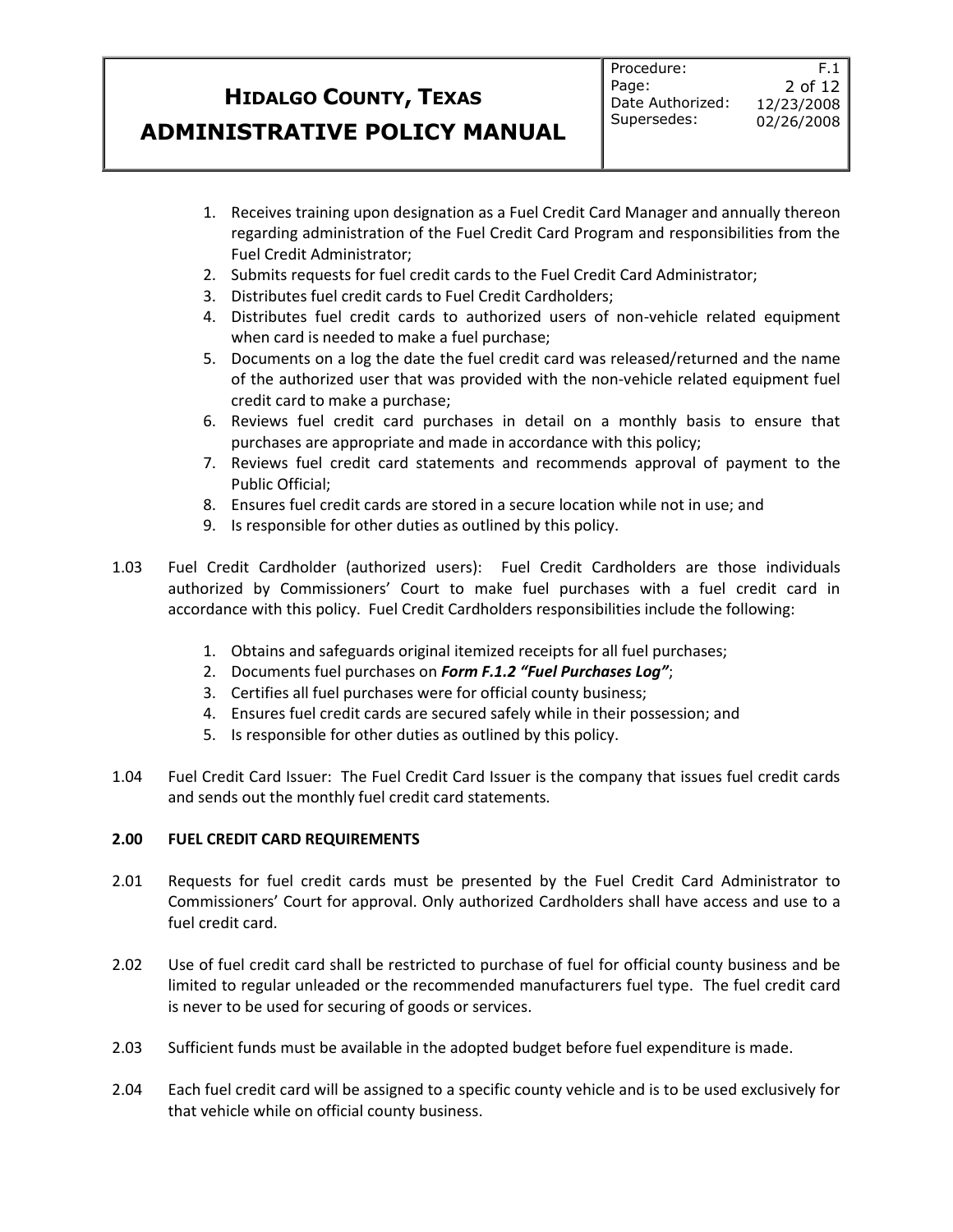F.1

- 1. Receives training upon designation as a Fuel Credit Card Manager and annually thereon regarding administration of the Fuel Credit Card Program and responsibilities from the Fuel Credit Administrator;
- 2. Submits requests for fuel credit cards to the Fuel Credit Card Administrator;
- 3. Distributes fuel credit cards to Fuel Credit Cardholders;
- 4. Distributes fuel credit cards to authorized users of non-vehicle related equipment when card is needed to make a fuel purchase;
- 5. Documents on a log the date the fuel credit card was released/returned and the name of the authorized user that was provided with the non-vehicle related equipment fuel credit card to make a purchase;
- 6. Reviews fuel credit card purchases in detail on a monthly basis to ensure that purchases are appropriate and made in accordance with this policy;
- 7. Reviews fuel credit card statements and recommends approval of payment to the Public Official;
- 8. Ensures fuel credit cards are stored in a secure location while not in use; and
- 9. Is responsible for other duties as outlined by this policy.
- 1.03 Fuel Credit Cardholder (authorized users): Fuel Credit Cardholders are those individuals authorized by Commissioners' Court to make fuel purchases with a fuel credit card in accordance with this policy. Fuel Credit Cardholders responsibilities include the following:
	- 1. Obtains and safeguards original itemized receipts for all fuel purchases;
	- 2. Documents fuel purchases on *Form F.1.2 "Fuel Purchases Log"*;
	- 3. Certifies all fuel purchases were for official county business;
	- 4. Ensures fuel credit cards are secured safely while in their possession; and
	- 5. Is responsible for other duties as outlined by this policy.
- 1.04 Fuel Credit Card Issuer: The Fuel Credit Card Issuer is the company that issues fuel credit cards and sends out the monthly fuel credit card statements.

### **2.00 FUEL CREDIT CARD REQUIREMENTS**

- 2.01 Requests for fuel credit cards must be presented by the Fuel Credit Card Administrator to Commissioners' Court for approval. Only authorized Cardholders shall have access and use to a fuel credit card.
- 2.02 Use of fuel credit card shall be restricted to purchase of fuel for official county business and be limited to regular unleaded or the recommended manufacturers fuel type. The fuel credit card is never to be used for securing of goods or services.
- 2.03 Sufficient funds must be available in the adopted budget before fuel expenditure is made.
- 2.04 Each fuel credit card will be assigned to a specific county vehicle and is to be used exclusively for that vehicle while on official county business.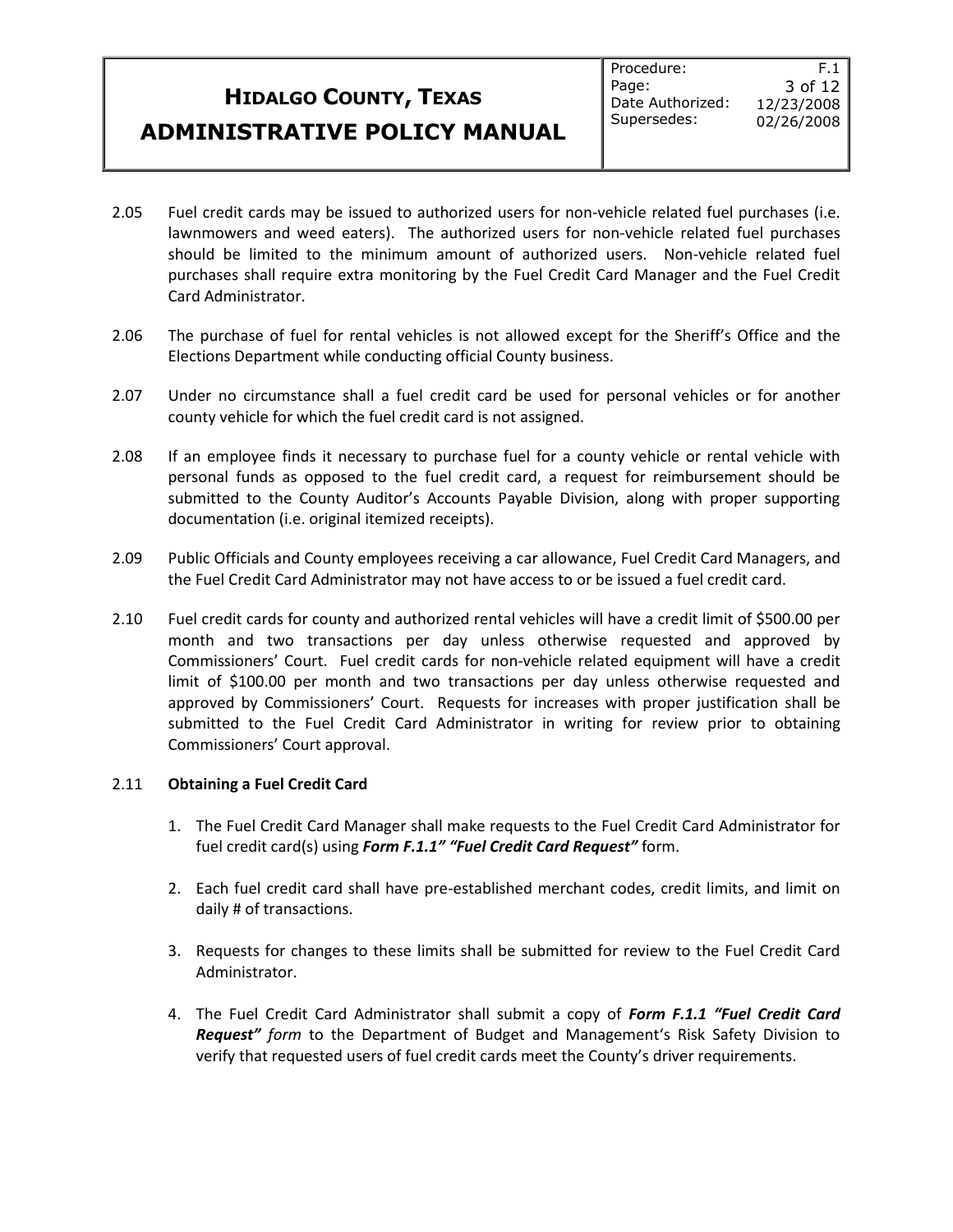- 2.05 Fuel credit cards may be issued to authorized users for non-vehicle related fuel purchases (i.e. lawnmowers and weed eaters). The authorized users for non-vehicle related fuel purchases should be limited to the minimum amount of authorized users. Non-vehicle related fuel purchases shall require extra monitoring by the Fuel Credit Card Manager and the Fuel Credit Card Administrator.
- 2.06 The purchase of fuel for rental vehicles is not allowed except for the Sheriff's Office and the Elections Department while conducting official County business.
- 2.07 Under no circumstance shall a fuel credit card be used for personal vehicles or for another county vehicle for which the fuel credit card is not assigned.
- 2.08 If an employee finds it necessary to purchase fuel for a county vehicle or rental vehicle with personal funds as opposed to the fuel credit card, a request for reimbursement should be submitted to the County Auditor's Accounts Payable Division, along with proper supporting documentation (i.e. original itemized receipts).
- 2.09 Public Officials and County employees receiving a car allowance, Fuel Credit Card Managers, and the Fuel Credit Card Administrator may not have access to or be issued a fuel credit card.
- 2.10 Fuel credit cards for county and authorized rental vehicles will have a credit limit of \$500.00 per month and two transactions per day unless otherwise requested and approved by Commissioners' Court. Fuel credit cards for non-vehicle related equipment will have a credit limit of \$100.00 per month and two transactions per day unless otherwise requested and approved by Commissioners' Court. Requests for increases with proper justification shall be submitted to the Fuel Credit Card Administrator in writing for review prior to obtaining Commissioners' Court approval.

#### 2.11 **Obtaining a Fuel Credit Card**

- 1. The Fuel Credit Card Manager shall make requests to the Fuel Credit Card Administrator for fuel credit card(s) using *Form F.1.1" "Fuel Credit Card Request"* form.
- 2. Each fuel credit card shall have pre-established merchant codes, credit limits, and limit on daily # of transactions.
- 3. Requests for changes to these limits shall be submitted for review to the Fuel Credit Card Administrator.
- 4. The Fuel Credit Card Administrator shall submit a copy of *Form F.1.1 "Fuel Credit Card Request" form* to the Department of Budget and Management's Risk Safety Division to verify that requested users of fuel credit cards meet the County's driver requirements.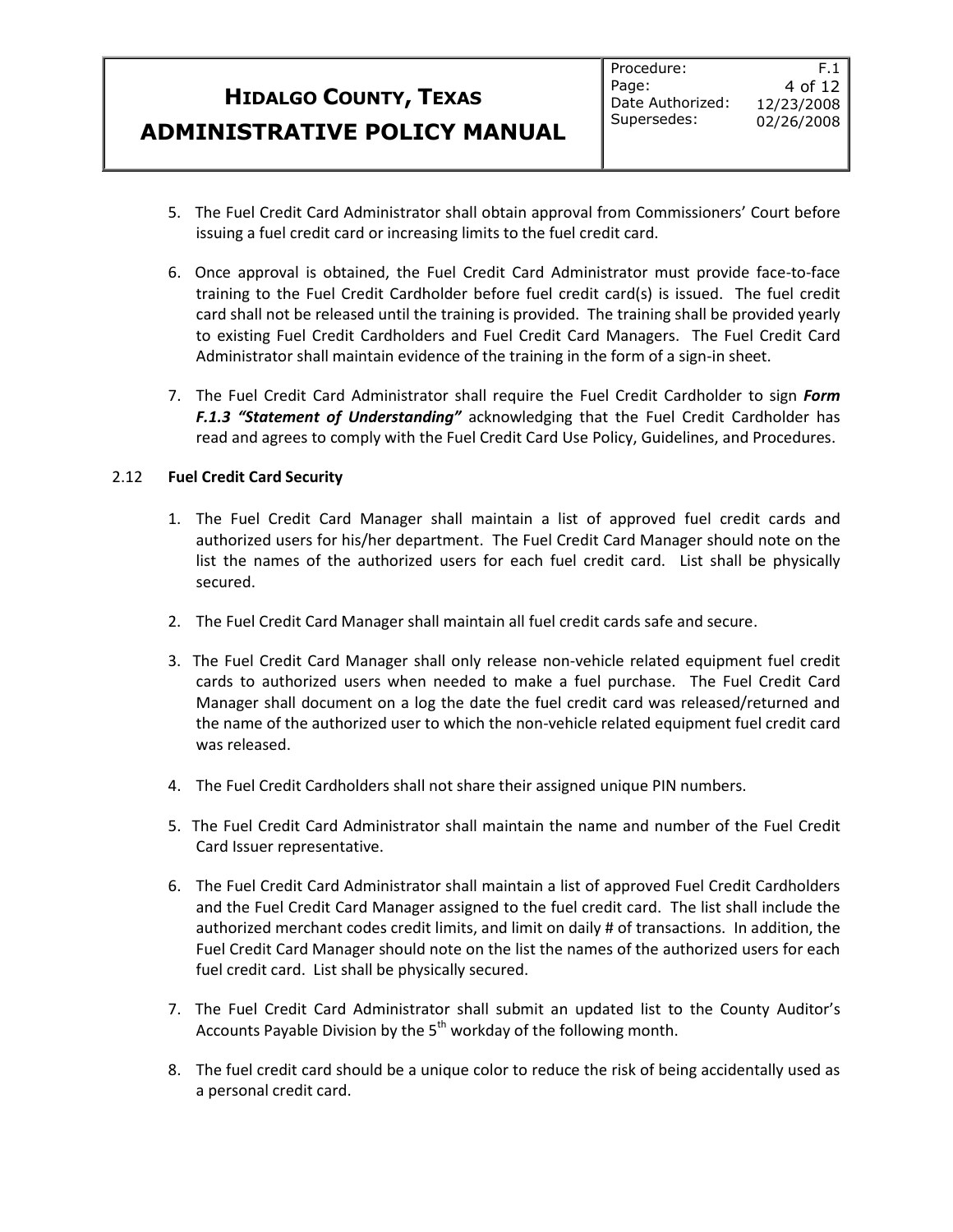F.1

- 6. Once approval is obtained, the Fuel Credit Card Administrator must provide face-to-face training to the Fuel Credit Cardholder before fuel credit card(s) is issued. The fuel credit card shall not be released until the training is provided. The training shall be provided yearly to existing Fuel Credit Cardholders and Fuel Credit Card Managers. The Fuel Credit Card Administrator shall maintain evidence of the training in the form of a sign-in sheet.
- 7. The Fuel Credit Card Administrator shall require the Fuel Credit Cardholder to sign *Form F.1.3 "Statement of Understanding"* acknowledging that the Fuel Credit Cardholder has read and agrees to comply with the Fuel Credit Card Use Policy, Guidelines, and Procedures.

### 2.12 **Fuel Credit Card Security**

- 1. The Fuel Credit Card Manager shall maintain a list of approved fuel credit cards and authorized users for his/her department. The Fuel Credit Card Manager should note on the list the names of the authorized users for each fuel credit card. List shall be physically secured.
- 2. The Fuel Credit Card Manager shall maintain all fuel credit cards safe and secure.
- 3. The Fuel Credit Card Manager shall only release non-vehicle related equipment fuel credit cards to authorized users when needed to make a fuel purchase. The Fuel Credit Card Manager shall document on a log the date the fuel credit card was released/returned and the name of the authorized user to which the non-vehicle related equipment fuel credit card was released.
- 4. The Fuel Credit Cardholders shall not share their assigned unique PIN numbers.
- 5. The Fuel Credit Card Administrator shall maintain the name and number of the Fuel Credit Card Issuer representative.
- 6. The Fuel Credit Card Administrator shall maintain a list of approved Fuel Credit Cardholders and the Fuel Credit Card Manager assigned to the fuel credit card. The list shall include the authorized merchant codes credit limits, and limit on daily # of transactions. In addition, the Fuel Credit Card Manager should note on the list the names of the authorized users for each fuel credit card. List shall be physically secured.
- 7. The Fuel Credit Card Administrator shall submit an updated list to the County Auditor's Accounts Payable Division by the  $5<sup>th</sup>$  workday of the following month.
- 8. The fuel credit card should be a unique color to reduce the risk of being accidentally used as a personal credit card.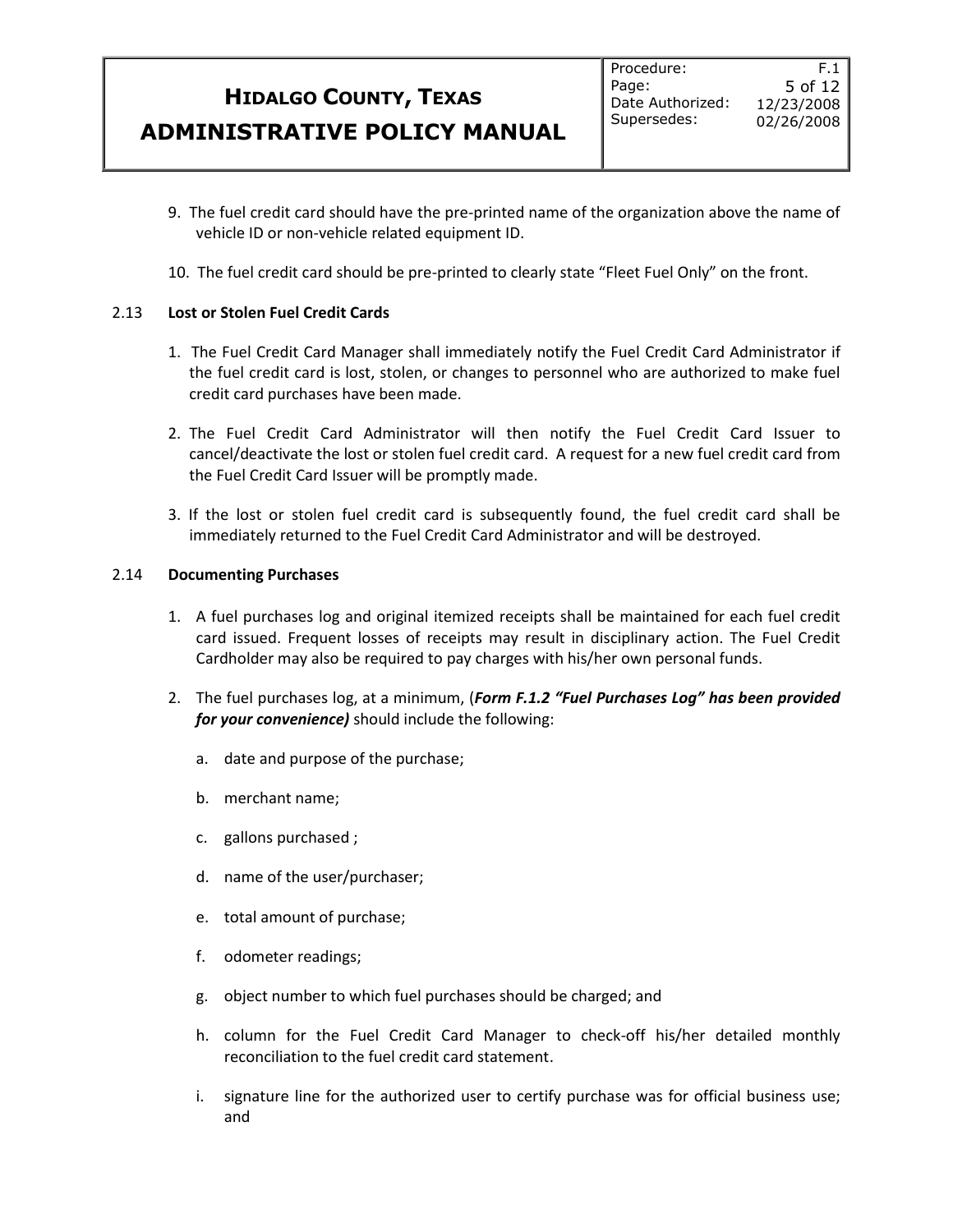- 9. The fuel credit card should have the pre-printed name of the organization above the name of vehicle ID or non-vehicle related equipment ID.
- 10. The fuel credit card should be pre-printed to clearly state "Fleet Fuel Only" on the front.

### 2.13 **Lost or Stolen Fuel Credit Cards**

- 1. The Fuel Credit Card Manager shall immediately notify the Fuel Credit Card Administrator if the fuel credit card is lost, stolen, or changes to personnel who are authorized to make fuel credit card purchases have been made.
- 2. The Fuel Credit Card Administrator will then notify the Fuel Credit Card Issuer to cancel/deactivate the lost or stolen fuel credit card. A request for a new fuel credit card from the Fuel Credit Card Issuer will be promptly made.
- 3. If the lost or stolen fuel credit card is subsequently found, the fuel credit card shall be immediately returned to the Fuel Credit Card Administrator and will be destroyed.

### 2.14 **Documenting Purchases**

- 1. A fuel purchases log and original itemized receipts shall be maintained for each fuel credit card issued. Frequent losses of receipts may result in disciplinary action. The Fuel Credit Cardholder may also be required to pay charges with his/her own personal funds.
- 2. The fuel purchases log, at a minimum, (*Form F.1.2 "Fuel Purchases Log" has been provided for your convenience)* should include the following:
	- a. date and purpose of the purchase;
	- b. merchant name;
	- c. gallons purchased ;
	- d. name of the user/purchaser;
	- e. total amount of purchase;
	- f. odometer readings;
	- g. object number to which fuel purchases should be charged; and
	- h. column for the Fuel Credit Card Manager to check-off his/her detailed monthly reconciliation to the fuel credit card statement.
	- i. signature line for the authorized user to certify purchase was for official business use; and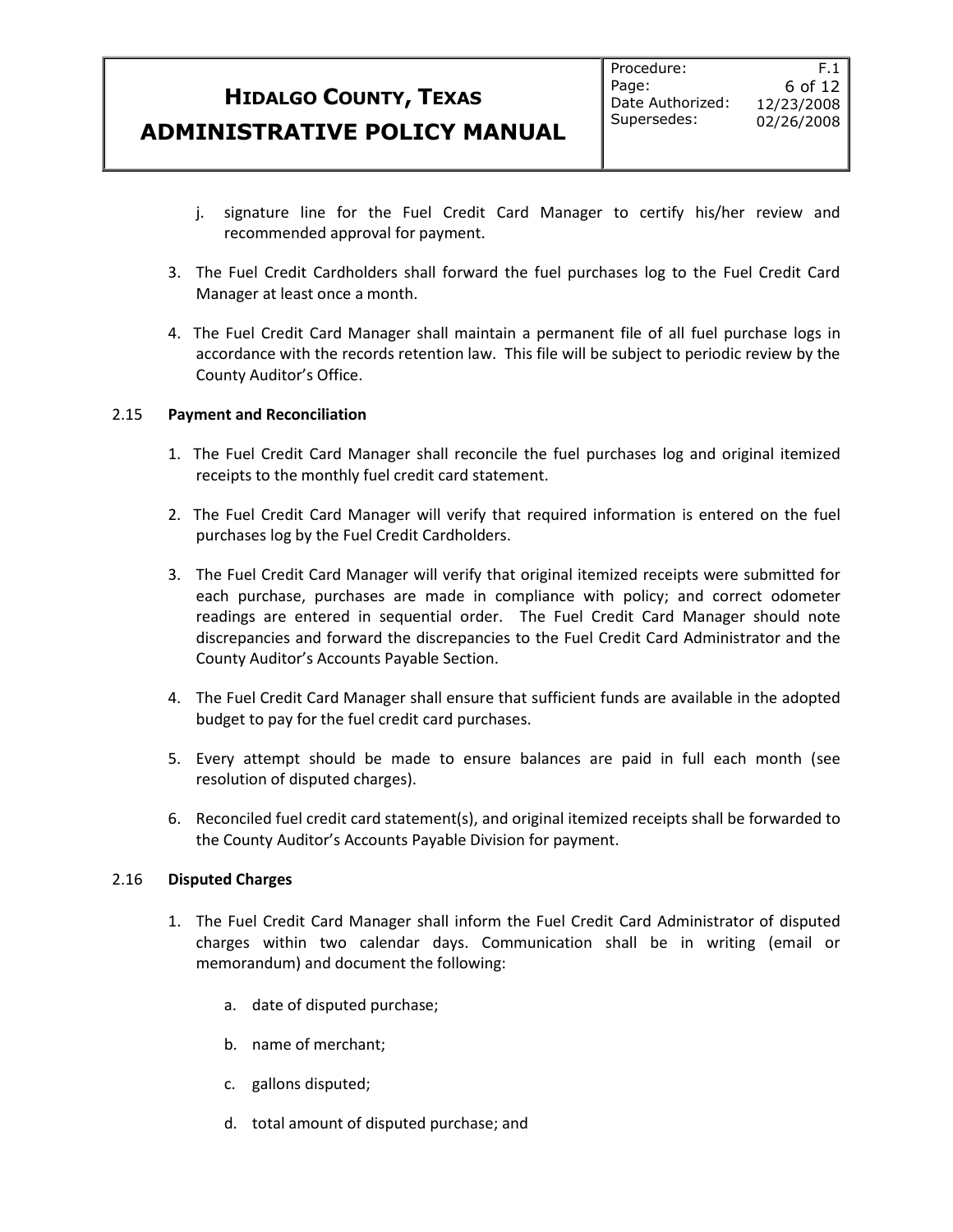- j. signature line for the Fuel Credit Card Manager to certify his/her review and recommended approval for payment.
- 3. The Fuel Credit Cardholders shall forward the fuel purchases log to the Fuel Credit Card Manager at least once a month.
- 4. The Fuel Credit Card Manager shall maintain a permanent file of all fuel purchase logs in accordance with the records retention law. This file will be subject to periodic review by the County Auditor's Office.

#### 2.15 **Payment and Reconciliation**

- 1. The Fuel Credit Card Manager shall reconcile the fuel purchases log and original itemized receipts to the monthly fuel credit card statement.
- 2. The Fuel Credit Card Manager will verify that required information is entered on the fuel purchases log by the Fuel Credit Cardholders.
- 3. The Fuel Credit Card Manager will verify that original itemized receipts were submitted for each purchase, purchases are made in compliance with policy; and correct odometer readings are entered in sequential order. The Fuel Credit Card Manager should note discrepancies and forward the discrepancies to the Fuel Credit Card Administrator and the County Auditor's Accounts Payable Section.
- 4. The Fuel Credit Card Manager shall ensure that sufficient funds are available in the adopted budget to pay for the fuel credit card purchases.
- 5. Every attempt should be made to ensure balances are paid in full each month (see resolution of disputed charges).
- 6. Reconciled fuel credit card statement(s), and original itemized receipts shall be forwarded to the County Auditor's Accounts Payable Division for payment.

#### 2.16 **Disputed Charges**

- 1. The Fuel Credit Card Manager shall inform the Fuel Credit Card Administrator of disputed charges within two calendar days. Communication shall be in writing (email or memorandum) and document the following:
	- a. date of disputed purchase;
	- b. name of merchant;
	- c. gallons disputed;
	- d. total amount of disputed purchase; and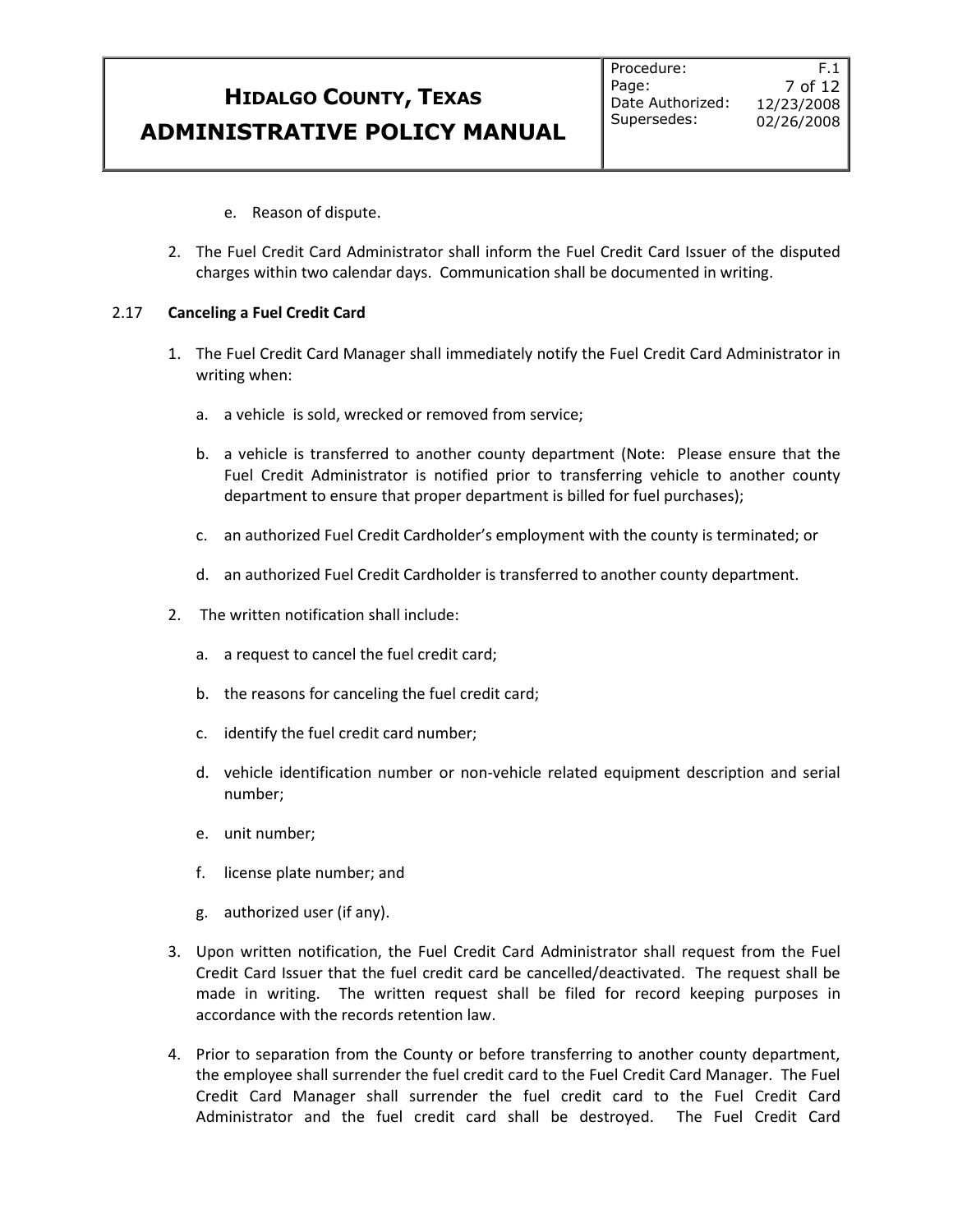F.1 7 of 12 12/23/2008 02/26/2008

- e. Reason of dispute.
- 2. The Fuel Credit Card Administrator shall inform the Fuel Credit Card Issuer of the disputed charges within two calendar days. Communication shall be documented in writing.

#### 2.17 **Canceling a Fuel Credit Card**

- 1. The Fuel Credit Card Manager shall immediately notify the Fuel Credit Card Administrator in writing when:
	- a. a vehicle is sold, wrecked or removed from service;
	- b. a vehicle is transferred to another county department (Note: Please ensure that the Fuel Credit Administrator is notified prior to transferring vehicle to another county department to ensure that proper department is billed for fuel purchases);
	- c. an authorized Fuel Credit Cardholder's employment with the county is terminated; or
	- d. an authorized Fuel Credit Cardholder is transferred to another county department.
- 2. The written notification shall include:
	- a. a request to cancel the fuel credit card;
	- b. the reasons for canceling the fuel credit card;
	- c. identify the fuel credit card number;
	- d. vehicle identification number or non-vehicle related equipment description and serial number;
	- e. unit number;
	- f. license plate number; and
	- g. authorized user (if any).
- 3. Upon written notification, the Fuel Credit Card Administrator shall request from the Fuel Credit Card Issuer that the fuel credit card be cancelled/deactivated. The request shall be made in writing. The written request shall be filed for record keeping purposes in accordance with the records retention law.
- 4. Prior to separation from the County or before transferring to another county department, the employee shall surrender the fuel credit card to the Fuel Credit Card Manager. The Fuel Credit Card Manager shall surrender the fuel credit card to the Fuel Credit Card Administrator and the fuel credit card shall be destroyed. The Fuel Credit Card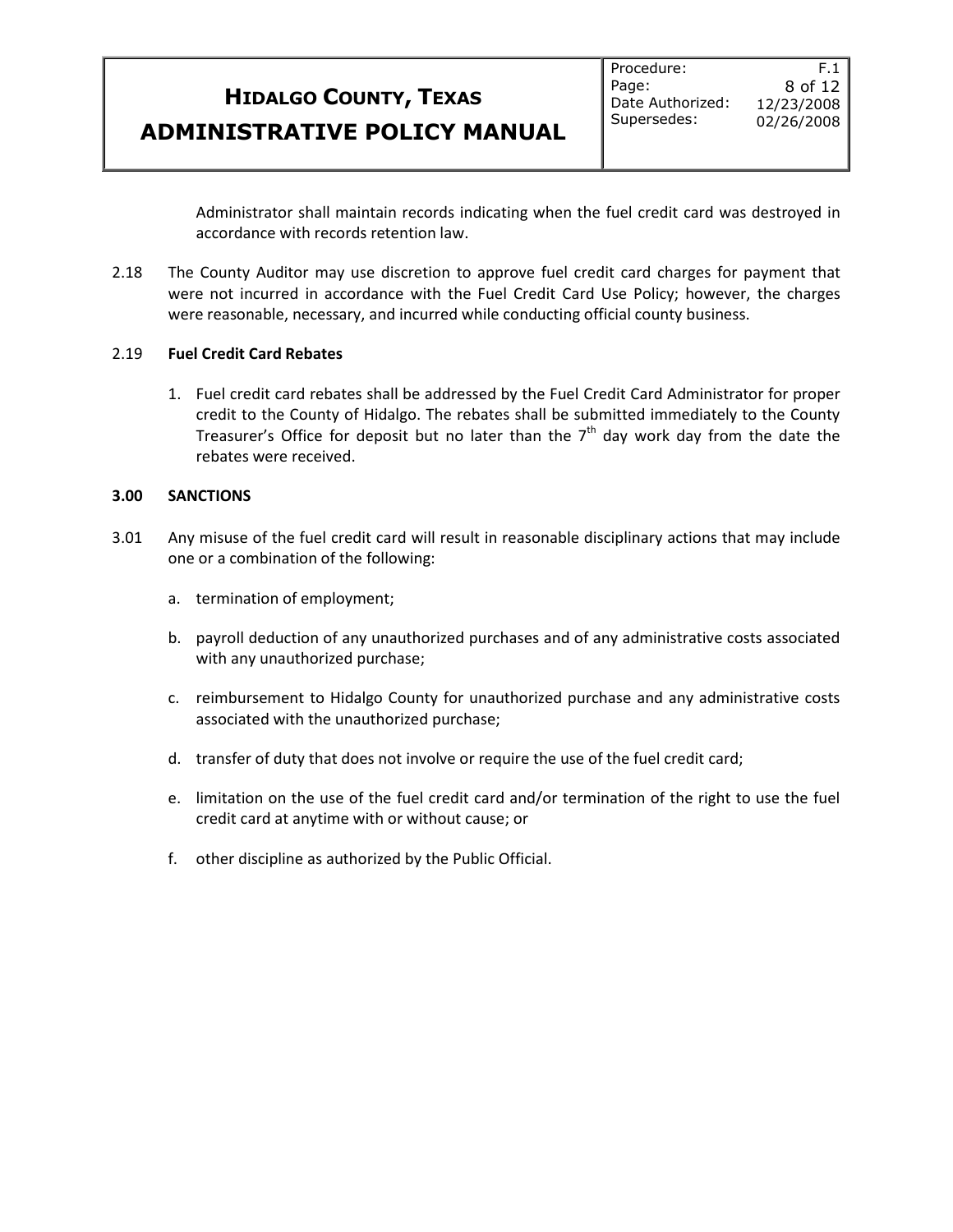F.1 8 of 12 12/23/2008 02/26/2008

Administrator shall maintain records indicating when the fuel credit card was destroyed in accordance with records retention law.

2.18 The County Auditor may use discretion to approve fuel credit card charges for payment that were not incurred in accordance with the Fuel Credit Card Use Policy; however, the charges were reasonable, necessary, and incurred while conducting official county business.

#### 2.19 **Fuel Credit Card Rebates**

1. Fuel credit card rebates shall be addressed by the Fuel Credit Card Administrator for proper credit to the County of Hidalgo. The rebates shall be submitted immediately to the County Treasurer's Office for deposit but no later than the  $7<sup>th</sup>$  day work day from the date the rebates were received.

#### **3.00 SANCTIONS**

- 3.01 Any misuse of the fuel credit card will result in reasonable disciplinary actions that may include one or a combination of the following:
	- a. termination of employment;
	- b. payroll deduction of any unauthorized purchases and of any administrative costs associated with any unauthorized purchase;
	- c. reimbursement to Hidalgo County for unauthorized purchase and any administrative costs associated with the unauthorized purchase;
	- d. transfer of duty that does not involve or require the use of the fuel credit card;
	- e. limitation on the use of the fuel credit card and/or termination of the right to use the fuel credit card at anytime with or without cause; or
	- f. other discipline as authorized by the Public Official.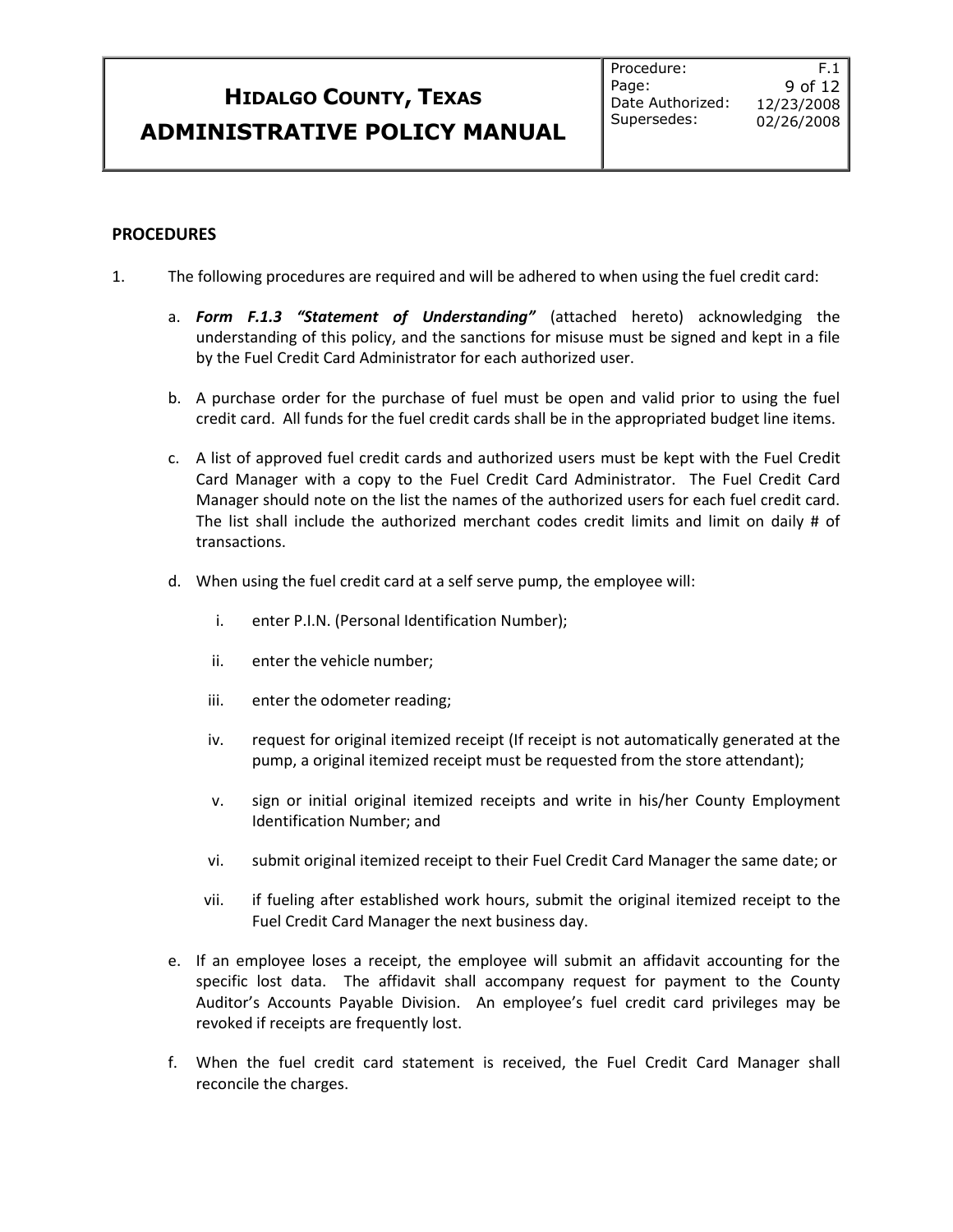#### **PROCEDURES**

- 1. The following procedures are required and will be adhered to when using the fuel credit card:
	- a. *Form F.1.3 "Statement of Understanding"* (attached hereto) acknowledging the understanding of this policy, and the sanctions for misuse must be signed and kept in a file by the Fuel Credit Card Administrator for each authorized user.
	- b. A purchase order for the purchase of fuel must be open and valid prior to using the fuel credit card. All funds for the fuel credit cards shall be in the appropriated budget line items.
	- c. A list of approved fuel credit cards and authorized users must be kept with the Fuel Credit Card Manager with a copy to the Fuel Credit Card Administrator. The Fuel Credit Card Manager should note on the list the names of the authorized users for each fuel credit card. The list shall include the authorized merchant codes credit limits and limit on daily # of transactions.
	- d. When using the fuel credit card at a self serve pump, the employee will:
		- i. enter P.I.N. (Personal Identification Number);
		- ii. enter the vehicle number;
		- iii. enter the odometer reading;
		- iv. request for original itemized receipt (If receipt is not automatically generated at the pump, a original itemized receipt must be requested from the store attendant);
		- v. sign or initial original itemized receipts and write in his/her County Employment Identification Number; and
		- vi. submit original itemized receipt to their Fuel Credit Card Manager the same date; or
		- vii. if fueling after established work hours, submit the original itemized receipt to the Fuel Credit Card Manager the next business day.
	- e. If an employee loses a receipt, the employee will submit an affidavit accounting for the specific lost data. The affidavit shall accompany request for payment to the County Auditor's Accounts Payable Division. An employee's fuel credit card privileges may be revoked if receipts are frequently lost.
	- f. When the fuel credit card statement is received, the Fuel Credit Card Manager shall reconcile the charges.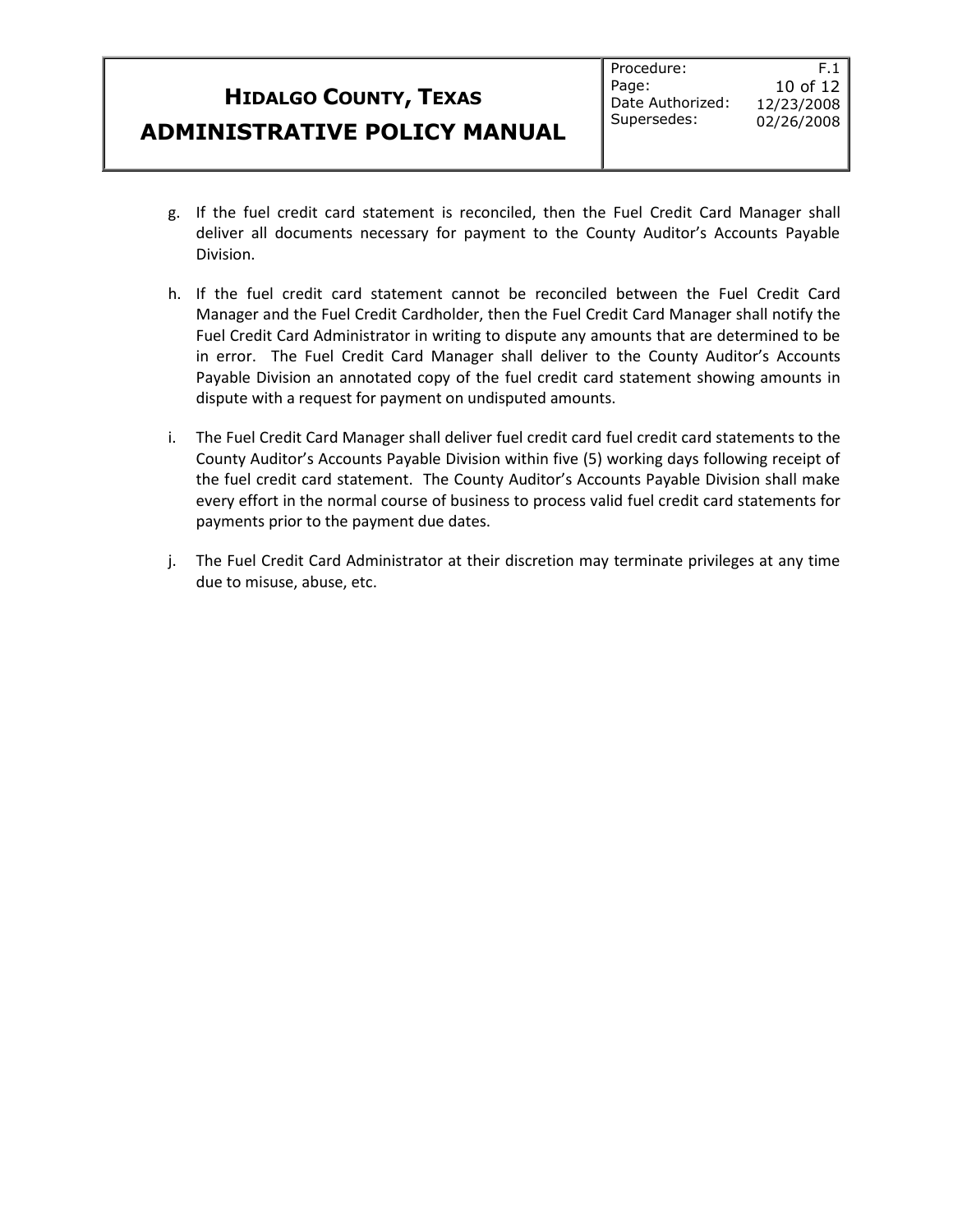- g. If the fuel credit card statement is reconciled, then the Fuel Credit Card Manager shall deliver all documents necessary for payment to the County Auditor's Accounts Payable Division.
- h. If the fuel credit card statement cannot be reconciled between the Fuel Credit Card Manager and the Fuel Credit Cardholder, then the Fuel Credit Card Manager shall notify the Fuel Credit Card Administrator in writing to dispute any amounts that are determined to be in error. The Fuel Credit Card Manager shall deliver to the County Auditor's Accounts Payable Division an annotated copy of the fuel credit card statement showing amounts in dispute with a request for payment on undisputed amounts.
- i. The Fuel Credit Card Manager shall deliver fuel credit card fuel credit card statements to the County Auditor's Accounts Payable Division within five (5) working days following receipt of the fuel credit card statement. The County Auditor's Accounts Payable Division shall make every effort in the normal course of business to process valid fuel credit card statements for payments prior to the payment due dates.
- j. The Fuel Credit Card Administrator at their discretion may terminate privileges at any time due to misuse, abuse, etc.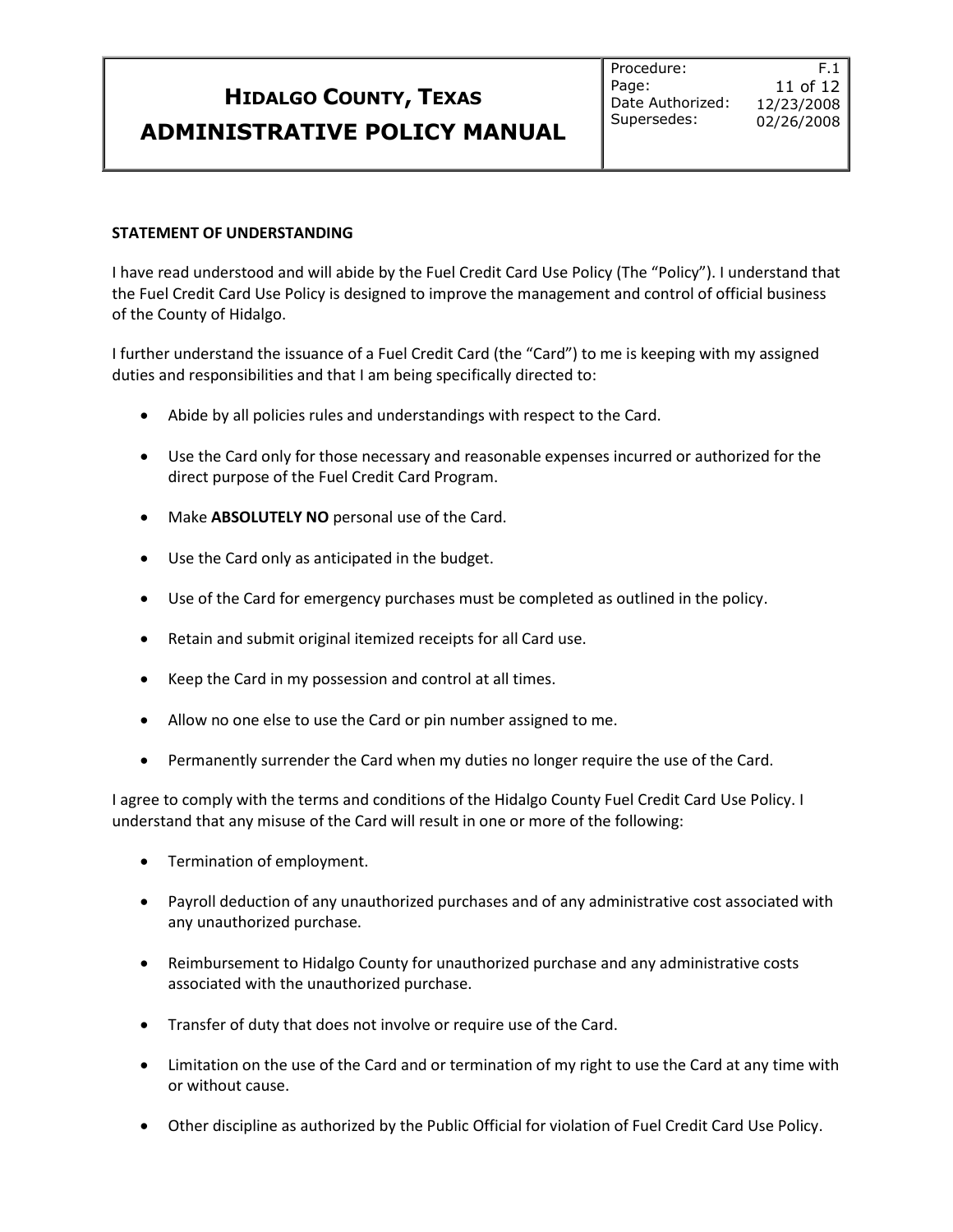#### **STATEMENT OF UNDERSTANDING**

I have read understood and will abide by the Fuel Credit Card Use Policy (The "Policy"). I understand that the Fuel Credit Card Use Policy is designed to improve the management and control of official business of the County of Hidalgo.

I further understand the issuance of a Fuel Credit Card (the "Card") to me is keeping with my assigned duties and responsibilities and that I am being specifically directed to:

- Abide by all policies rules and understandings with respect to the Card.
- Use the Card only for those necessary and reasonable expenses incurred or authorized for the direct purpose of the Fuel Credit Card Program.
- Make **ABSOLUTELY NO** personal use of the Card.
- Use the Card only as anticipated in the budget.
- Use of the Card for emergency purchases must be completed as outlined in the policy.
- Retain and submit original itemized receipts for all Card use.
- Keep the Card in my possession and control at all times.
- Allow no one else to use the Card or pin number assigned to me.
- Permanently surrender the Card when my duties no longer require the use of the Card.

I agree to comply with the terms and conditions of the Hidalgo County Fuel Credit Card Use Policy. I understand that any misuse of the Card will result in one or more of the following:

- Termination of employment.
- Payroll deduction of any unauthorized purchases and of any administrative cost associated with any unauthorized purchase.
- Reimbursement to Hidalgo County for unauthorized purchase and any administrative costs associated with the unauthorized purchase.
- Transfer of duty that does not involve or require use of the Card.
- Limitation on the use of the Card and or termination of my right to use the Card at any time with or without cause.
- Other discipline as authorized by the Public Official for violation of Fuel Credit Card Use Policy.